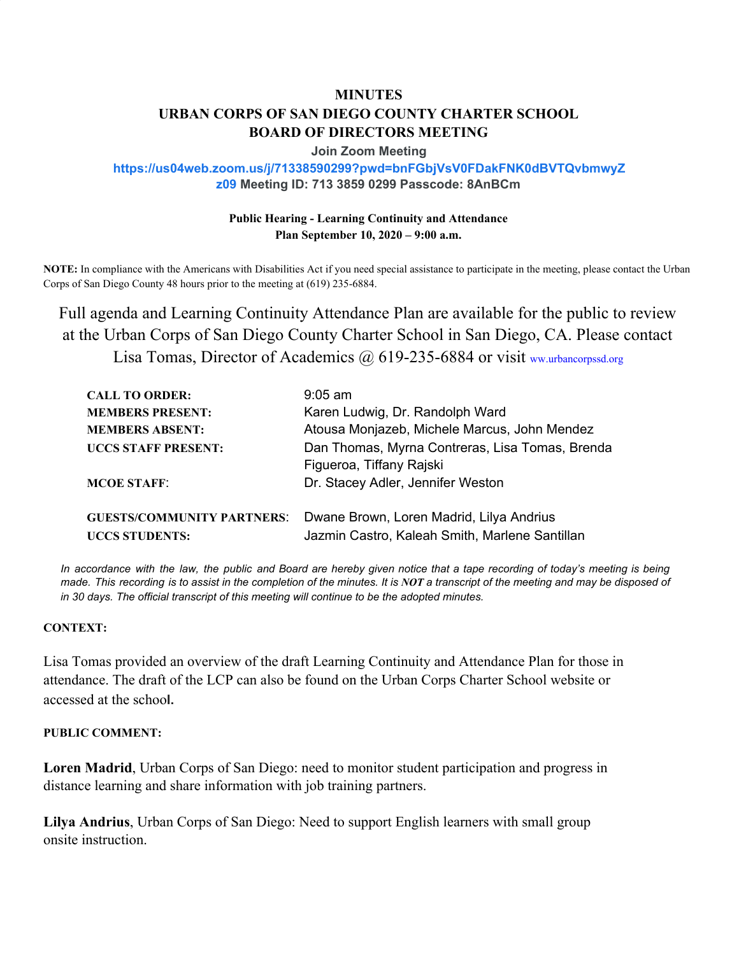# **MINUTES URBAN CORPS OF SAN DIEGO COUNTY CHARTER SCHOOL BOARD OF DIRECTORS MEETING**

#### **Join Zoom Meeting**

## **https://us04web.zoom.us/j/71338590299?pwd=bnFGbjVsV0FDakFNK0dBVTQvbmwyZ z09 Meeting ID: 713 3859 0299 Passcode: 8AnBCm**

## **Public Hearing - Learning Continuity and Attendance Plan September 10, 2020 – 9:00 a.m.**

**NOTE:** In compliance with the Americans with Disabilities Act if you need special assistance to participate in the meeting, please contact the Urban Corps of San Diego County 48 hours prior to the meeting at (619) 235-6884.

Full agenda and Learning Continuity Attendance Plan are available for the public to review at the Urban Corps of San Diego County Charter School in San Diego, CA. Please contact Lisa Tomas, Director of Academics @ 619-235-6884 or visit ww.urbancorpssd.org

| <b>CALL TO ORDER:</b>             | $9:05$ am                                                                   |
|-----------------------------------|-----------------------------------------------------------------------------|
| <b>MEMBERS PRESENT:</b>           | Karen Ludwig, Dr. Randolph Ward                                             |
| <b>MEMBERS ABSENT:</b>            | Atousa Monjazeb, Michele Marcus, John Mendez                                |
| <b>UCCS STAFF PRESENT:</b>        | Dan Thomas, Myrna Contreras, Lisa Tomas, Brenda<br>Figueroa, Tiffany Rajski |
| <b>MCOE STAFF:</b>                | Dr. Stacey Adler, Jennifer Weston                                           |
| <b>GUESTS/COMMUNITY PARTNERS:</b> | Dwane Brown, Loren Madrid, Lilya Andrius                                    |
| <b>UCCS STUDENTS:</b>             | Jazmin Castro, Kaleah Smith, Marlene Santillan                              |

In accordance with the law, the public and Board are hereby given notice that a tape recording of today's meeting is being made. This recording is to assist in the completion of the minutes. It is NOT a transcript of the meeting and may be disposed of *in 30 days. The official transcript of this meeting will continue to be the adopted minutes.*

#### **CONTEXT:**

Lisa Tomas provided an overview of the draft Learning Continuity and Attendance Plan for those in attendance. The draft of the LCP can also be found on the Urban Corps Charter School website or accessed at the schoo**l.**

### **PUBLIC COMMENT:**

**Loren Madrid**, Urban Corps of San Diego: need to monitor student participation and progress in distance learning and share information with job training partners.

**Lilya Andrius**, Urban Corps of San Diego: Need to support English learners with small group onsite instruction.